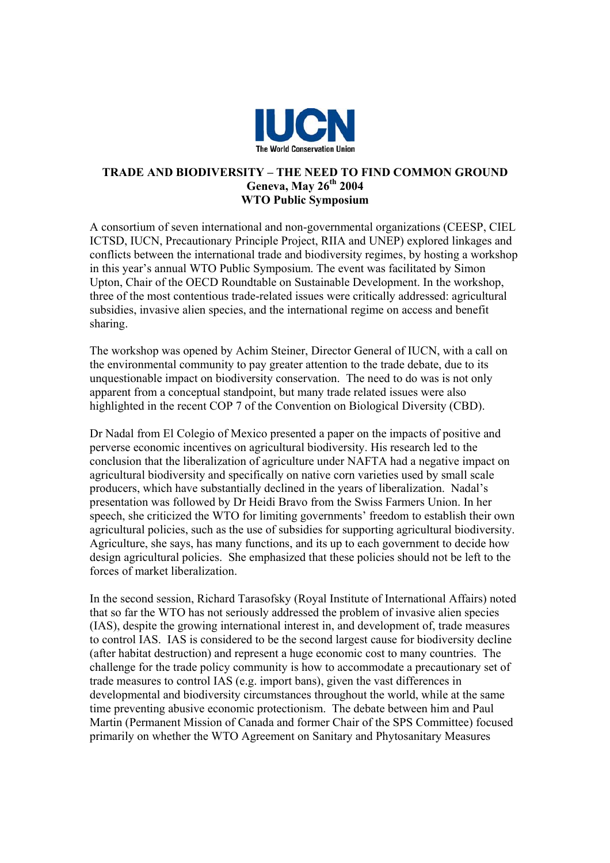

## **TRADE AND BIODIVERSITY – THE NEED TO FIND COMMON GROUND Geneva, May 26th 2004 WTO Public Symposium**

A consortium of seven international and non-governmental organizations (CEESP, CIEL ICTSD, IUCN, Precautionary Principle Project, RIIA and UNEP) explored linkages and conflicts between the international trade and biodiversity regimes, by hosting a workshop in this year's annual WTO Public Symposium. The event was facilitated by Simon Upton, Chair of the OECD Roundtable on Sustainable Development. In the workshop, three of the most contentious trade-related issues were critically addressed: agricultural subsidies, invasive alien species, and the international regime on access and benefit sharing.

The workshop was opened by Achim Steiner, Director General of IUCN, with a call on the environmental community to pay greater attention to the trade debate, due to its unquestionable impact on biodiversity conservation. The need to do was is not only apparent from a conceptual standpoint, but many trade related issues were also highlighted in the recent COP 7 of the Convention on Biological Diversity (CBD).

Dr Nadal from El Colegio of Mexico presented a paper on the impacts of positive and perverse economic incentives on agricultural biodiversity. His research led to the conclusion that the liberalization of agriculture under NAFTA had a negative impact on agricultural biodiversity and specifically on native corn varieties used by small scale producers, which have substantially declined in the years of liberalization. Nadal's presentation was followed by Dr Heidi Bravo from the Swiss Farmers Union. In her speech, she criticized the WTO for limiting governments' freedom to establish their own agricultural policies, such as the use of subsidies for supporting agricultural biodiversity. Agriculture, she says, has many functions, and its up to each government to decide how design agricultural policies. She emphasized that these policies should not be left to the forces of market liberalization.

In the second session, Richard Tarasofsky (Royal Institute of International Affairs) noted that so far the WTO has not seriously addressed the problem of invasive alien species (IAS), despite the growing international interest in, and development of, trade measures to control IAS. IAS is considered to be the second largest cause for biodiversity decline (after habitat destruction) and represent a huge economic cost to many countries. The challenge for the trade policy community is how to accommodate a precautionary set of trade measures to control IAS (e.g. import bans), given the vast differences in developmental and biodiversity circumstances throughout the world, while at the same time preventing abusive economic protectionism. The debate between him and Paul Martin (Permanent Mission of Canada and former Chair of the SPS Committee) focused primarily on whether the WTO Agreement on Sanitary and Phytosanitary Measures